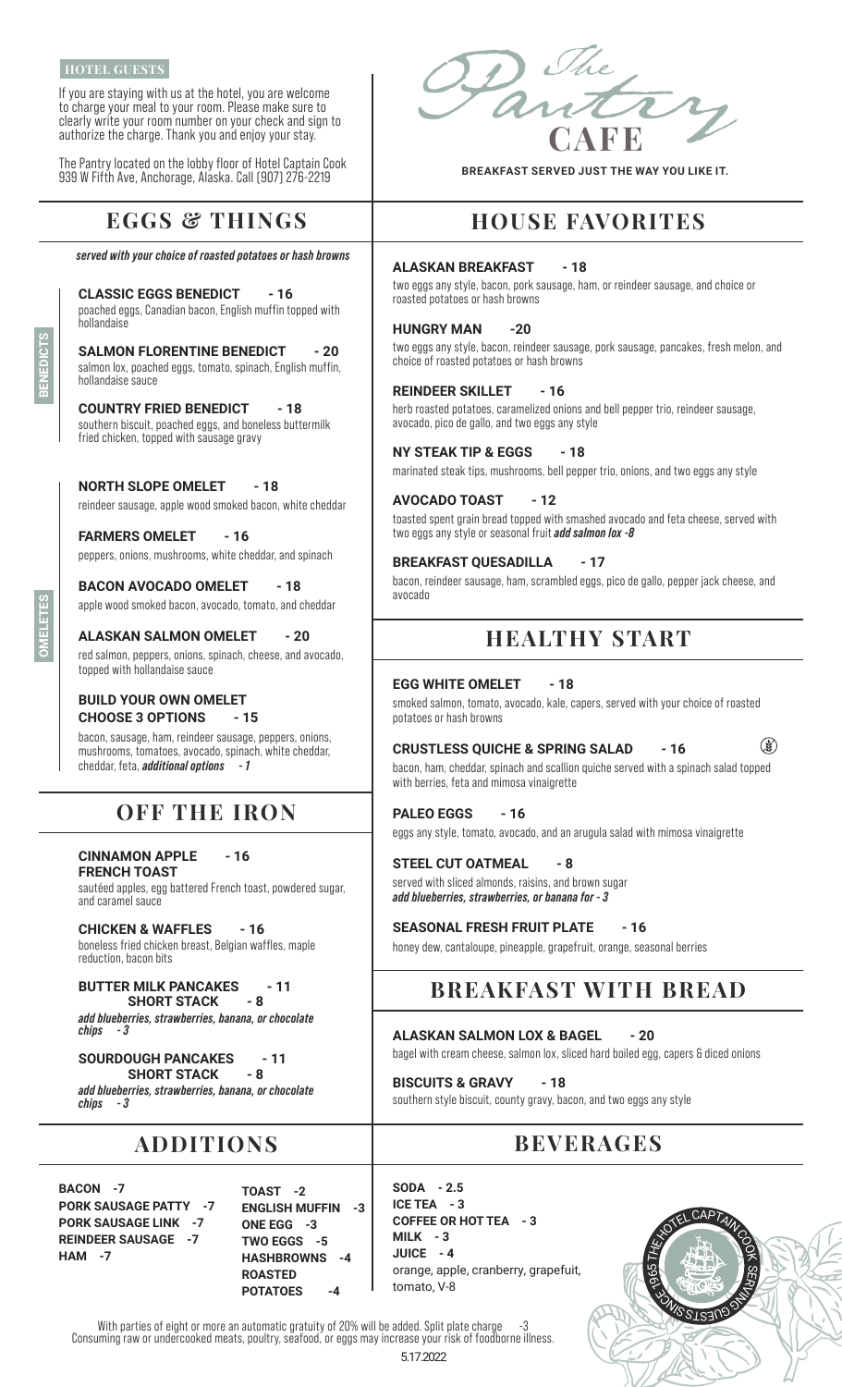#### **HOTEL GUESTS**

**BENEDICTS**

က<br>ပ

**OMELETES**

If you are staying with us at the hotel, you are welcome to charge your meal to your room. Please make sure to clearly write your room number on your check and sign to authorize the charge. Thank you and enjoy your stay.

The Pantry located on the lobby floor of Hotel Captain Cook 939 W Fifth Ave, Anchorage, Alaska. Call (907) 276-2219

## **EGGS & THINGS**

*served with your choice of roasted potatoes or hash browns*

**CLASSIC EGGS BENEDICT - 16** poached eggs, Canadian bacon, English muffin topped with hollandaise

**SALMON FLORENTINE BENEDICT - 20** salmon lox, poached eggs, tomato, spinach, English muffin, hollandaise sauce

**COUNTRY FRIED BENEDICT - 18** southern biscuit, poached eggs, and boneless buttermilk fried chicken, topped with sausage gravy

**NORTH SLOPE OMELET - 18** reindeer sausage, apple wood smoked bacon, white cheddar

**FARMERS OMELET - 16** peppers, onions, mushrooms, white cheddar, and spinach

**BACON AVOCADO OMELET - 18** apple wood smoked bacon, avocado, tomato, and cheddar

**ALASKAN SALMON OMELET - 20** red salmon, peppers, onions, spinach, cheese, and avocado, topped with hollandaise sauce

#### **BUILD YOUR OWN OMELET CHOOSE 3 OPTIONS - 15**

bacon, sausage, ham, reindeer sausage, peppers, onions, mushrooms, tomatoes, avocado, spinach, white cheddar, cheddar, feta, *additional options - 1*

### **OFF THE IRON**

**CINNAMON APPLE - 16 FRENCH TOAST** sautéed apples, egg battered French toast, powdered sugar, and caramel sauce

**CHICKEN & WAFFLES - 16** boneless fried chicken breast, Belgian waffles, maple reduction, bacon bits

**BUTTER MILK PANCAKES** - 11 **SHORT STACK** *add blueberries, strawberries, banana, or chocolate*   $chips$ 

**SOURDOUGH PANCAKES - 11 SHORT STACK - 8** *add blueberries, strawberries, banana, or chocolate chips - 3*

### **ADDITIONS**

**BACON -7 PORK SAUSAGE PATTY -7 PORK SAUSAGE LINK -7 REINDEER SAUSAGE -7 HAM -7**

**TOAST -2 ENGLISH MUFFIN -3 ONE EGG -3 TWO EGGS -5 HASHBROWNS -4 ROASTED POTATOES -4**

**SODA - 2.5 ICE TEA - 3 COFFEE OR HOT TEA - 3 MILK - 3 JUICE - 4** orange, apple, cranberry, grapefuit, tomato, V-8



Pantry **CAFE** The

**BREAKFAST SERVED JUST THE WAY YOU LIKE IT.**

## **HOUSE FAVORITES**

#### **ALASKAN BREAKFAST - 18**

two eggs any style, bacon, pork sausage, ham, or reindeer sausage, and choice or roasted potatoes or hash browns

#### **HUNGRY MAN -20**

two eggs any style, bacon, reindeer sausage, pork sausage, pancakes, fresh melon, and choice of roasted potatoes or hash browns

#### **REINDEER SKILLET - 16**

herb roasted potatoes, caramelized onions and bell pepper trio, reindeer sausage, avocado, pico de gallo, and two eggs any style

#### **NY STEAK TIP & EGGS - 18**

marinated steak tips, mushrooms, bell pepper trio, onions, and two eggs any style

#### **AVOCADO TOAST - 12**

toasted spent grain bread topped with smashed avocado and feta cheese, served with two eggs any style or seasonal fruit *add salmon lox -8*

#### **BREAKFAST QUESADILLA - 17**

bacon, reindeer sausage, ham, scrambled eggs, pico de gallo, pepper jack cheese, and avocado

### **HEALTHY START**

#### **EGG WHITE OMELET - 18**

smoked salmon, tomato, avocado, kale, capers, served with your choice of roasted potatoes or hash browns

 $\mathbb{Q}$ **CRUSTLESS QUICHE & SPRING SALAD - 16**

bacon, ham, cheddar, spinach and scallion quiche served with a spinach salad topped with berries, feta and mimosa vinaigrette

**PALEO EGGS - 16** eggs any style, tomato, avocado, and an arugula salad with mimosa vinaigrette

#### **STEEL CUT OATMEAL - 8**

served with sliced almonds, raisins, and brown sugar *add blueberries, strawberries, or banana for - 3*

**SEASONAL FRESH FRUIT PLATE - 16** honey dew, cantaloupe, pineapple, grapefruit, orange, seasonal berries

## **BREAKFAST WITH BREAD**

**ALASKAN SALMON LOX & BAGEL - 20** bagel with cream cheese, salmon lox, sliced hard boiled egg, capers & diced onions

**BISCUITS & GRAVY - 18** southern style biscuit, county gravy, bacon, and two eggs any style

# **BEVERAGES**

With parties of eight or more an automatic gratuity of 20% will be added. Split plate charge Consuming raw or undercooked meats, poultry, seafood, or eggs may increase your risk of foodborne illness.